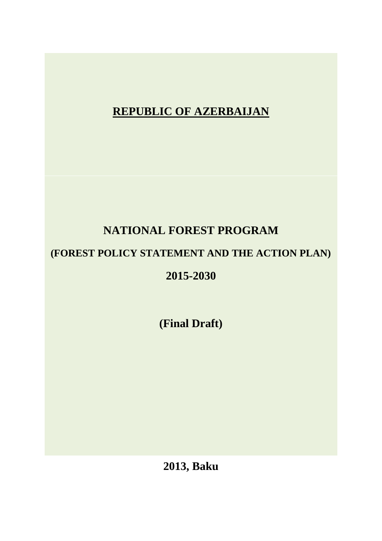**REPUBLIC OF AZERBAIJAN**

# **NATIONAL FOREST PROGRAM**

# **(FOREST POLICY STATEMENT AND THE ACTION PLAN)**

## **2015-2030**

**(Final Draft)**

**2013, Baku**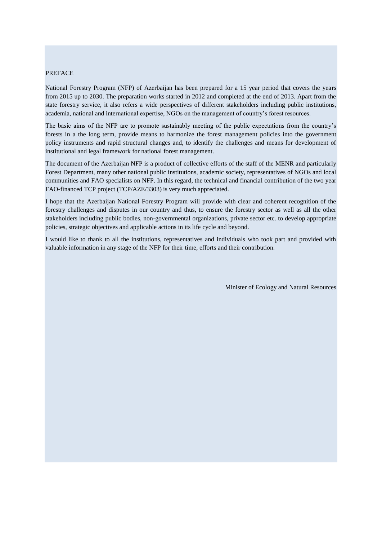#### <span id="page-1-0"></span>**PREFACE**

National Forestry Program (NFP) of Azerbaijan has been prepared for a 15 year period that covers the years from 2015 up to 2030. The preparation works started in 2012 and completed at the end of 2013. Apart from the state forestry service, it also refers a wide perspectives of different stakeholders including public institutions, academia, national and international expertise, NGOs on the management of country's forest resources.

The basic aims of the NFP are to promote sustainably meeting of the public expectations from the country's forests in a the long term, provide means to harmonize the forest management policies into the government policy instruments and rapid structural changes and, to identify the challenges and means for development of institutional and legal framework for national forest management.

The document of the Azerbaijan NFP is a product of collective efforts of the staff of the MENR and particularly Forest Department, many other national public institutions, academic society, representatives of NGOs and local communities and FAO specialists on NFP. In this regard, the technical and financial contribution of the two year FAO-financed TCP project (TCP/AZE/3303) is very much appreciated.

I hope that the Azerbaijan National Forestry Program will provide with clear and coherent recognition of the forestry challenges and disputes in our country and thus, to ensure the forestry sector as well as all the other stakeholders including public bodies, non-governmental organizations, private sector etc. to develop appropriate policies, strategic objectives and applicable actions in its life cycle and beyond.

<span id="page-1-1"></span>I would like to thank to all the institutions, representatives and individuals who took part and provided with valuable information in any stage of the NFP for their time, efforts and their contribution.

Minister of Ecology and Natural Resources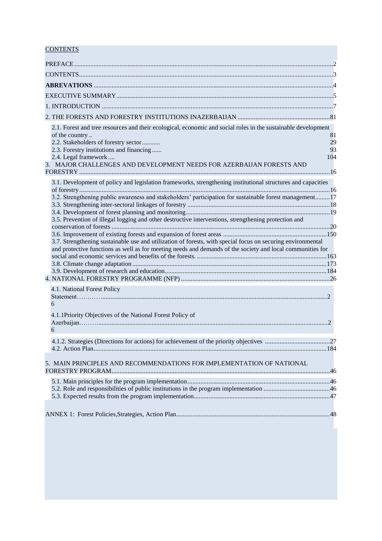## **CONTENTS**

<span id="page-2-0"></span>

| 2.1. Forest and tree resources and their ecological, economic and social roles in the sustainable development |     |
|---------------------------------------------------------------------------------------------------------------|-----|
| of the country                                                                                                | 81  |
| 2.2. Stakeholders of forestry sector                                                                          | 29  |
| 2.3. Forestry institutions and financing                                                                      | 93  |
| 2.4. Legal framework<br>3. MAJOR CHALLENGES AND DEVELOPMENT NEEDS FOR AZERBAIJAN FORESTS AND                  | 104 |
|                                                                                                               |     |
| 3.1. Development of policy and legislation frameworks, strengthening institutional structures and capacities  |     |
| 3.2. Strengthening public awareness and stakeholders' participation for sustainable forest management17       |     |
|                                                                                                               |     |
| 3.5. Prevention of illegal logging and other destructive interventions, strengthening protection and          |     |
|                                                                                                               |     |
|                                                                                                               |     |
| 3.7. Strengthening sustainable use and utilization of forests, with special focus on securing environmental   |     |
| and protective functions as well as for meeting needs and demands of the society and local communities for    |     |
|                                                                                                               |     |
|                                                                                                               |     |
|                                                                                                               |     |
| 4.1. National Forest Policy                                                                                   |     |
|                                                                                                               |     |
| 6                                                                                                             |     |
| 4.1.1Priority Objectives of the National Forest Policy of                                                     |     |
|                                                                                                               |     |
| 6                                                                                                             |     |
| 4.1.2. Strategies (Directions for actions) for achievement of the priority objectives                         | 27  |
|                                                                                                               |     |
| 5. MAIN PRINCIPLES AND RECOMMENDATIONS FOR IMPLEMENTATION OF NATIONAL                                         |     |
|                                                                                                               |     |
|                                                                                                               |     |
|                                                                                                               |     |
|                                                                                                               |     |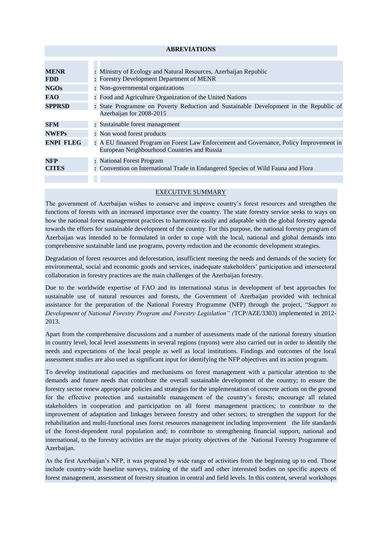#### **ABREVIATIONS**

| <b>MENR</b>      | : Ministry of Ecology and Natural Resources, Azerbaijan Republic                        |
|------------------|-----------------------------------------------------------------------------------------|
| <b>FDD</b>       | : Forestry Development Department of MENR                                               |
| <b>NGOs</b>      | : Non-governmental organizations                                                        |
| <b>FAO</b>       | : Food and Agriculture Organization of the United Nations                               |
| <b>SPPRSD</b>    | : State Programme on Poverty Reduction and Sustainable Development in the Republic of   |
|                  | Azerbaijan for 2008-2015                                                                |
| <b>SFM</b>       | : Sustainable forest management                                                         |
| <b>NWFPs</b>     | : Non wood forest products                                                              |
| <b>ENPI FLEG</b> | : A EU financed Program on Forest Law Enforcement and Governance, Policy Improvement in |
|                  | European Neighbourhood Countries and Russia                                             |
| <b>NFP</b>       | : National Forest Program                                                               |
| <b>CITES</b>     | : Convention on International Trade in Endangered Species of Wild Fauna and Flora       |
|                  |                                                                                         |
|                  |                                                                                         |

#### EXECUTIVE SUMMARY

<span id="page-3-0"></span>The government of Azerbaijan wishes to conserve and improve country's forest resources and strengthen the functions of forests with an increased importance over the country. The state forestry service seeks to ways on how the national forest management practices to harmonize easily and adaptable with the global forestry agenda towards the efforts for sustainable development of the country. For this purpose, the national forestry program of Azerbaijan was intended to be formulated in order to cope with the local, national and global demands into comprehensive sustainable land use programs, poverty reduction and the economic development strategies.

Degradation of forest resources and deforestation, insufficient meeting the needs and demands of the society for environmental, social and economic goods and services, inadequate stakeholders' participation and intersectoral collaboration in forestry practices are the main challenges of the Azerbaijan forestry.

Due to the worldwide expertise of FAO and its international status in development of best approaches for sustainable use of natural resources and forests, the Government of Azerbaijan provided with technical assistance for the preparation of the National Forestry Programme (NFP) through the project, "*Support to Development of National Forestry Program and Forestry Legislation" (*TCP/AZE/3303) implemented in 2012- 2013.

Apart from the comprehensive discussions and a number of assessments made of the national forestry situation in country level, local level assessments in several regions (rayons) were also carried out in order to identify the needs and expectations of the local people as well as local institutions. Findings and outcomes of the local assessment studies are also used as significant input for identifying the NFP objectives and its action program.

To develop institutional capacities and mechanisms on forest management with a particular attention to the demands and future needs that contribute the overall sustainable development of the country; to ensure the forestry sector renew appropriate policies and strategies for the implementation of concrete actions on the ground for the effective protection and sustainable management of the country's forests; encourage all related stakeholders in cooperation and participation on all forest management practices; to contribute to the improvement of adaptation and linkages between forestry and other sectors; to strengthen the support for the rehabilitation and multi-functional uses forest resources management including improvement the life standards of the forest-dependent rural population and; to contribute to strengthening financial support, national and international, to the forestry activities are the major priority objectives of the National Forestry Programme of Azerbaijan.

As the first Azerbaijan's NFP, it was prepared by wide range of activities from the beginning up to end. Those include country-wide baseline surveys, training of the staff and other interested bodies on specific aspects of forest management, assessment of forestry situation in central and field levels. In this content, several workshops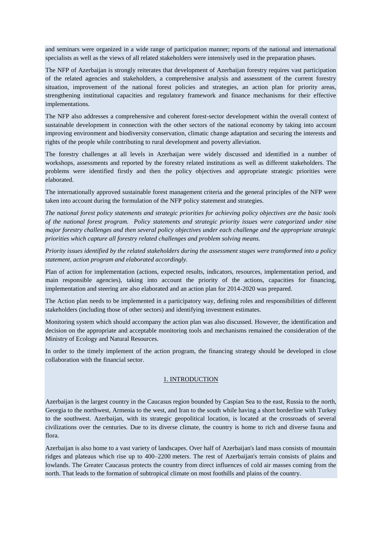and seminars were organized in a wide range of participation manner; reports of the national and international specialists as well as the views of all related stakeholders were intensively used in the preparation phases.

The NFP of Azerbaijan is strongly reiterates that development of Azerbaijan forestry requires vast participation of the related agencies and stakeholders, a comprehensive analysis and assessment of the current forestry situation, improvement of the national forest policies and strategies, an action plan for priority areas, strengthening institutional capacities and regulatory framework and finance mechanisms for their effective implementations.

The NFP also addresses a comprehensive and coherent forest-sector development within the overall context of sustainable development in connection with the other sectors of the national economy by taking into account improving environment and biodiversity conservation, climatic change adaptation and securing the interests and rights of the people while contributing to rural development and poverty alleviation.

The forestry challenges at all levels in Azerbaijan were widely discussed and identified in a number of workshops, assessments and reported by the forestry related institutions as well as different stakeholders. The problems were identified firstly and then the policy objectives and appropriate strategic priorities were elaborated.

The internationally approved sustainable forest management criteria and the general principles of the NFP were taken into account during the formulation of the NFP policy statement and strategies.

*The national forest policy statements and strategic priorities for achieving policy objectives are the basic tools of the national forest program. Policy statements and strategic priority issues were categorized under nine major forestry challenges and then several policy objectives under each challenge and the appropriate strategic priorities which capture all forestry related challenges and problem solving means.*

*Priority issues identified by the related stakeholders during the assessment stages were transformed into a policy statement, action program and elaborated accordingly.*

Plan of action for implementation (actions, expected results, indicators, resources, implementation period, and main responsible agencies), taking into account the priority of the actions, capacities for financing, implementation and steering are also elaborated and an action plan for 2014-2020 was prepared.

The Action plan needs to be implemented in a participatory way, defining roles and responsibilities of different stakeholders (including those of other sectors) and identifying investment estimates.

Monitoring system which should accompany the action plan was also discussed. However, the identification and decision on the appropriate and acceptable monitoring tools and mechanisms remained the consideration of the Ministry of Ecology and Natural Resources.

In order to the timely implement of the action program, the financing strategy should be developed in close collaboration with the financial sector.

## 1. INTRODUCTION

<span id="page-4-0"></span>Azerbaijan is the largest country in the [Caucasus](http://en.wikipedia.org/wiki/Caucasus) region bounded by [Caspian Sea](http://en.wikipedia.org/wiki/Caspian_Sea) to the east, [Russia](http://en.wikipedia.org/wiki/Russia) to the north, [Georgia](http://en.wikipedia.org/wiki/Georgia_(country)) to the northwest, [Armenia](http://en.wikipedia.org/wiki/Armenia) to the west, and [Iran](http://en.wikipedia.org/wiki/Iran) to the south while having a short borderline with [Turkey](http://en.wikipedia.org/wiki/Turkey) to the southwest. Azerbaijan, with its strategic geopolitical location, is located at the crossroads of several civilizations over the centuries. Due to its diverse climate, the country is home to rich and diverse [fauna](http://en.wikipedia.org/wiki/Fauna_of_Azerbaijan) and [flora.](http://en.wikipedia.org/wiki/Flora_of_Azerbaijan)

Azerbaijan is also home to a vast variety of landscapes. Over half of Azerbaijan's land mass consists of mountain ridges and plateaus which rise up to 400–2200 meters. The rest of Azerbaijan's terrain consists of plains and lowlands. The Greater Caucasus protects the country from direct influences of cold air masses coming from the north. That leads to the formation of [subtropical climate](http://en.wikipedia.org/wiki/Subtropics) on most foothills and plains of the country.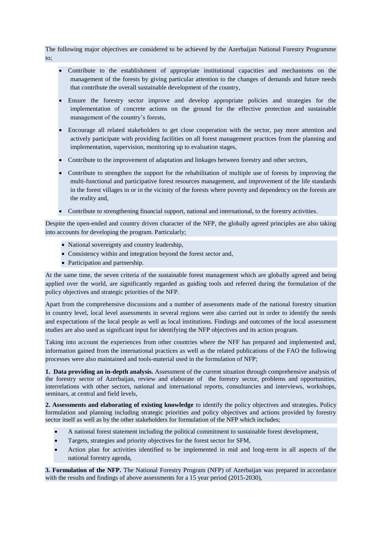The following major objectives are considered to be achieved by the Azerbaijan National Forestry Programme to;

- Contribute to the establishment of appropriate institutional capacities and mechanisms on the management of the forests by giving particular attention to the changes of demands and future needs that contribute the overall sustainable development of the country,
- Ensure the forestry sector improve and develop appropriate policies and strategies for the implementation of concrete actions on the ground for the effective protection and sustainable management of the country's forests,
- Encourage all related stakeholders to get close cooperation with the sector, pay more attention and actively participate with providing facilities on all forest management practices from the planning and implementation, supervision, monitoring up to evaluation stages,
- Contribute to the improvement of adaptation and linkages between forestry and other sectors,
- Contribute to strengthen the support for the rehabilitation of multiple use of forests by improving the multi-functional and participative forest resources management, and improvement of the life standards in the forest villages in or in the vicinity of the forests where poverty and dependency on the forests are the reality and,
- Contribute to strengthening financial support, national and international, to the forestry activities.

Despite the open-ended and country driven character of the NFP, the globally agreed principles are also taking into accounts for developing the program. Particularly;

- National sovereignty and country leadership,
- Consistency within and integration beyond the forest sector and,
- Participation and partnership.

At the same time, the seven criteria of the sustainable forest management which are globally agreed and being applied over the world, are significantly regarded as guiding tools and referred during the formulation of the policy objectives and strategic priorities of the NFP.

Apart from the comprehensive discussions and a number of assessments made of the national forestry situation in country level, local level assessments in several regions were also carried out in order to identify the needs and expectations of the local people as well as local institutions. Findings and outcomes of the local assessment studies are also used as significant input for identifying the NFP objectives and its action program.

Taking into account the experiences from other countries where the NFF has prepared and implemented and, information gained from the international practices as well as the related publications of the FAO the following processes were also maintained and tools-material used in the formulation of NFP;

**1. Data providing an in-depth analysis.** Assessment of the current situation through comprehensive analysis of the forestry sector of Azerbaijan, review and elaborate of the forestry sector, problems and opportunities, interrelations with other sectors, national and international reports, consultancies and interviews, workshops, seminars, at central and field levels,

**2. Assessments and elaborating of existing knowledge** to identify the policy objectives and strategies**.** Policy formulation and planning including strategic priorities and policy objectives and actions provided by forestry sector itself as well as by the other stakeholders for formulation of the NFP which includes;

- A national forest statement including the political commitment to sustainable forest development,
- Targets, strategies and priority objectives for the forest sector for SFM,
- Action plan for activities identified to be implemented in mid and long-term in all aspects of the national forestry agenda,

**3. Formulation of the NFP.** The National Forestry Program (NFP) of Azerbaijan was prepared in accordance with the results and findings of above assessments for a 15 year period (2015-2030),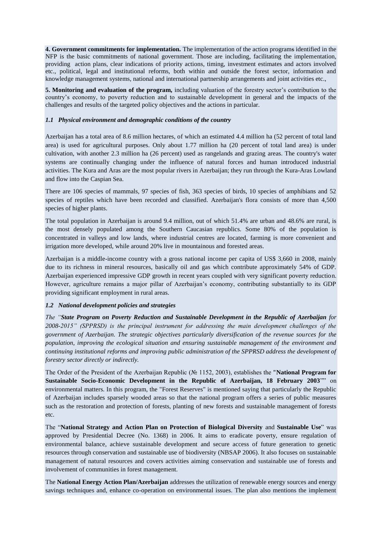**4. Government commitments for implementation.** The implementation of the action programs identified in the NFP is the basic commitments of national government. Those are including, facilitating the implementation, providing action plans, clear indications of priority actions, timing, investment estimates and actors involved etc., political, legal and institutional reforms, both within and outside the forest sector, information and knowledge management systems, national and international partnership arrangements and joint activities etc.,

**5. Monitoring and evaluation of the program,** including valuation of the forestry sector's contribution to the country's economy, to poverty reduction and to sustainable development in general and the impacts of the challenges and results of the targeted policy objectives and the actions in particular.

## *1.1 Physical environment and demographic conditions of the country*

Azerbaijan has a total area of 8.6 million hectares, of which an estimated 4.4 million ha (52 percent of total land area) is used for agricultural purposes. Only about 1.77 million ha (20 percent of total land area) is under cultivation, with another 2.3 million ha (26 percent) used as rangelands and grazing areas. The country's water systems are continually changing under the influence of natural forces and human introduced industrial activities. The [Kura](http://en.wikipedia.org/wiki/Kura_River) and [Aras](http://en.wikipedia.org/wiki/Aras_River) are the most popular rivers in Azerbaijan; they run through the [Kura-Aras Lowland](http://en.wikipedia.org/wiki/Kura-Aras_Lowland) and flow into the Caspian Sea.

There are 106 species of mammals, 97 species of fish, 363 species of birds, 10 species of amphibians and 52 species of reptiles which have been recorded and classified. Azerbaijan's flora consists of more than 4,500 species of [higher plants.](http://en.wikipedia.org/wiki/Higher_plants)

The total population in Azerbaijan is around 9.4 million, out of which 51.4% are urban and 48.6% are rural, is the most densely populated among the Southern Caucasian republics. Some 80% of the population is concentrated in valleys and low lands, where industrial centres are located, farming is more convenient and irrigation more developed, while around 20% live in mountainous and forested areas.

Azerbaijan is a middle-income country with a gross national income per capita of US\$ 3,660 in 2008, mainly due to its richness in mineral resources, basically oil and gas which contribute approximately 54% of GDP. Azerbaijan experienced impressive GDP growth in recent years coupled with very significant poverty reduction. However, agriculture remains a major pillar of Azerbaijan's economy, contributing substantially to its GDP providing significant employment in rural areas.

## *1.2 National development policies and strategies*

*The "State Program on Poverty Reduction and Sustainable Development in the Republic of Azerbaijan for 2008-2015" (SPPRSD) is the principal instrument for addressing the main development challenges of the government of Azerbaijan. The strategic objectives particularly diversification of the revenue sources for the population, improving the ecological situation and ensuring sustainable management of the environment and continuing institutional reforms and improving public administration of the SPPRSD address the development of forestry sector directly or indirectly.*

The Order of the President of the Azerbaijan Republic (№ 1152, 2003), establishes the "**National Program for Sustainable Socio-Economic Development in the Republic of Azerbaijan, 18 February 2003**"" on environmental matters. In this program, the "Forest Reserves" is mentioned saying that particularly the Republic of Azerbaijan includes sparsely wooded areas so that the national program offers a series of public measures such as the restoration and protection of forests, planting of new forests and sustainable management of forests etc.

The "**National Strategy and Action Plan on Protection of Biological Diversity** and **Sustainable Use**" was approved by Presidential Decree (No. 1368) in 2006. It aims to eradicate poverty, ensure regulation of environmental balance, achieve sustainable development and secure access of future generation to genetic resources through conservation and sustainable use of biodiversity (NBSAP 2006). It also focuses on sustainable management of natural resources and covers activities aiming conservation and sustainable use of forests and involvement of communities in forest management.

The **National Energy Action Plan/Azerbaijan** addresses the utilization of renewable energy sources and energy savings techniques and, enhance co-operation on environmental issues. The plan also mentions the implement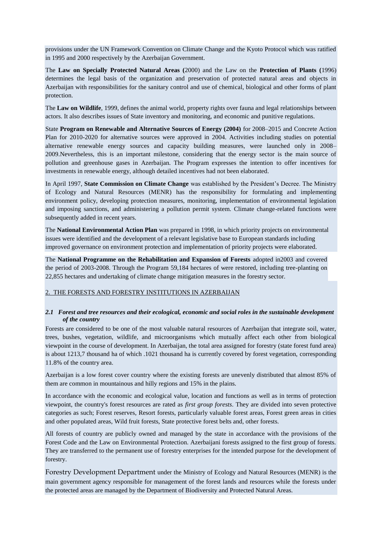provisions under the UN Framework Convention on Climate Change and the Kyoto Protocol which was ratified in 1995 and 2000 respectively by the Azerbaijan Government.

The **Law on Specially Protected Natural Areas (**2000) and the Law on the **Protection of Plants (**1996) determines the legal basis of the organization and preservation of protected natural areas and objects in Azerbaijan with responsibilities for the sanitary control and use of chemical, biological and other forms of plant protection.

The **Law on Wildlife**, 1999, defines the animal world, property rights over fauna and legal relationships between actors. It also describes issues of State inventory and monitoring, and economic and punitive regulations.

State **Program on Renewable and Alternative Sources of Energy (2004)** for 2008–2015 and Concrete Action Plan for 2010-2020 for alternative sources were approved in 2004. Activities including studies on potential alternative renewable energy sources and capacity building measures, were launched only in 2008– 2009.Nevertheless, this is an important milestone, considering that the energy sector is the main source of pollution and greenhouse gases in Azerbaijan. The Program expresses the intention to offer incentives for investments in renewable energy, although detailed incentives had not been elaborated.

In April 1997, **State Commission on Climate Change** was established by the President's Decree. The Ministry of Ecology and Natural Resources (MENR) has the responsibility for formulating and implementing environment policy, developing protection measures, monitoring, implementation of environmental legislation and imposing sanctions, and administering a pollution permit system. Climate change-related functions were subsequently added in recent years.

The **National Environmental Action Plan** was prepared in 1998, in which priority projects on environmental issues were identified and the development of a relevant legislative base to European standards including improved governance on environment protection and implementation of priority projects were elaborated.

The **National Programme on the Rehabilitation and Expansion of Forests** adopted in2003 and covered the period of 2003-2008. Through the Program 59,184 hectares of were restored, including tree-planting on 22,855 hectares and undertaking of climate change mitigation measures in the forestry sector.

## <span id="page-7-0"></span>2. THE FORESTS AND FORESTRY INSTITUTIONS IN AZERBAIJAN

## <span id="page-7-1"></span>*2.1 Forest and tree resources and their ecological, economic and social roles in the sustainable development of the country*

Forests are considered to be one of the most valuable natural resources of Azerbaijan that integrate soil, water, trees, bushes, vegetation, wildlife, and microorganisms which mutually affect each other from biological viewpoint in the course of development. In Azerbaijan, the total area assigned for forestry (state forest fund area) is about 1213,7 thousand ha of which .1021 thousand ha is currently covered by forest vegetation, corresponding 11.8% of the country area.

Azerbaijan is a low forest cover country where the existing forests are unevenly distributed that almost 85% of them are common in mountainous and hilly regions and 15% in the plains.

In accordance with the economic and ecological value, location and functions as well as in terms of protection viewpoint, the country's forest resources are rated as *first group forests*. They are divided into seven protective categories as such; Forest reserves, Resort forests, particularly valuable forest areas, Forest green areas in cities and other populated areas, Wild fruit forests, State protective forest belts and, other forests.

All forests of country are publicly owned and managed by the state in accordance with the provisions of the Forest Code and the Law on Environmental Protection. Azerbaijani forests assigned to the first group of forests. They are transferred to the permanent use of forestry enterprises for the intended purpose for the development of forestry.

Forestry Development Department under the Ministry of Ecology and Natural Resources (MENR) is the main government agency responsible for management of the forest lands and resources while the forests under the protected areas are managed by the Department of Biodiversity and Protected Natural Areas.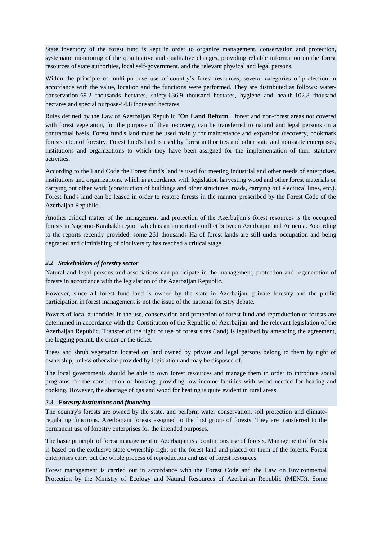State inventory of the forest fund is kept in order to organize management, conservation and protection, systematic monitoring of the quantitative and qualitative changes, providing reliable information on the forest resources of state authorities, local self-government, and the relevant physical and legal persons.

Within the principle of multi-purpose use of country's forest resources, several categories of protection in accordance with the value, location and the functions were performed. They are distributed as follows: waterconservation-69.2 thousands hectares, safety-636.9 thousand hectares, hygiene and health-102.8 thousand hectares and special purpose-54.8 thousand hectares.

Rules defined by the Law of Azerbaijan Republic "**On Land Reform**", forest and non-forest areas not covered with forest vegetation, for the purpose of their recovery, can be transferred to natural and legal persons on a contractual basis. Forest fund's land must be used mainly for maintenance and expansion (recovery, bookmark forests, etc.) of forestry. Forest fund's land is used by forest authorities and other state and non-state enterprises, institutions and organizations to which they have been assigned for the implementation of their statutory activities.

According to the Land Code the Forest fund's land is used for meeting industrial and other needs of enterprises, institutions and organizations, which in accordance with legislation harvesting wood and other forest materials or carrying out other work (construction of buildings and other structures, roads, carrying out electrical lines, etc.). Forest fund's land can be leased in order to restore forests in the manner prescribed by the Forest Code of the Azerbaijan Republic.

Another critical matter of the management and protection of the Azerbaijan's forest resources is the occupied forests in Nagorno-Karabakh region which is an important conflict between Azerbaijan and Armenia. According to the reports recently provided, some 261 thousands Ha of forest lands are still under occupation and being degraded and diminishing of biodiversity has reached a critical stage.

## <span id="page-8-0"></span>*2.2 Stakeholders of forestry sector*

Natural and legal persons and associations can participate in the management, protection and regeneration of forests in accordance with the legislation of the Azerbaijan Republic.

However, since all forest fund land is owned by the state in Azerbaijan, private forestry and the public participation in forest management is not the issue of the national forestry debate.

Powers of local authorities in the use, conservation and protection of forest fund and reproduction of forests are determined in accordance with the Constitution of the Republic of Azerbaijan and the relevant legislation of the Azerbaijan Republic. Transfer of the right of use of forest sites (land) is legalized by amending the agreement, the logging permit, the order or the ticket.

Trees and shrub vegetation located on land owned by private and legal persons belong to them by right of ownership, unless otherwise provided by legislation and may be disposed of.

The local governments should be able to own forest resources and manage them in order to introduce social programs for the construction of housing, providing low-income families with wood needed for heating and cooking. However, the shortage of gas and wood for heating is quite evident in rural areas.

## <span id="page-8-1"></span>*2.3 Forestry institutions and financing*

The country's forests are owned by the state, and perform water conservation, soil protection and climateregulating functions. Azerbaijani forests assigned to the first group of forests. They are transferred to the permanent use of forestry enterprises for the intended purposes.

The basic principle of forest management in Azerbaijan is a continuous use of forests. Management of forests is based on the exclusive state ownership right on the forest land and placed on them of the forests. Forest enterprises carry out the whole process of reproduction and use of forest resources.

Forest management is carried out in accordance with the Forest Code and the Law on Environmental Protection by the Ministry of Ecology and Natural Resources of Azerbaijan Republic (MENR). Some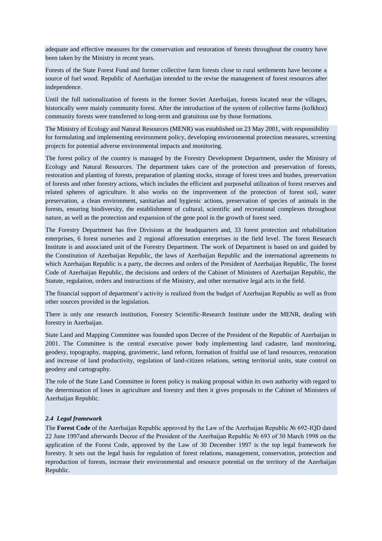adequate and effective measures for the conservation and restoration of forests throughout the country have been taken by the Ministry in recent years.

Forests of the State Forest Fund and former collective farm forests close to rural settlements have become a source of fuel wood. Republic of Azerbaijan intended to the revise the management of forest resources after independence.

Until the full nationalization of forests in the former Soviet Azerbaijan, forests located near the villages, historically were mainly community forest. After the introduction of the system of collective farms (kolkhoz) community forests were transferred to long-term and gratuitous use by those formations.

The Ministry of Ecology and Natural Resources (MENR) was established on 23 May 2001, with responsibility for formulating and implementing environment policy, developing environmental protection measures, screening projects for potential adverse environmental impacts and monitoring.

The forest policy of the country is managed by the Forestry Development Department, under the Ministry of Ecology and Natural Resources. The department takes care of the protection and preservation of forests, restoration and planting of forests, preparation of planting stocks, storage of forest trees and bushes, preservation of forests and other forestry actions, which includes the efficient and purposeful utilization of forest reserves and related spheres of agriculture. It also works on the improvement of the protection of forest soil, water preservation, a clean environment, sanitarian and hygienic actions, preservation of species of animals in the forests, ensuring biodiversity, the establishment of cultural, scientific and recreational complexes throughout nature, as well as the protection and expansion of the gene pool in the growth of forest seed.

The Forestry Department has five Divisions at the headquarters and, 33 forest protection and rehabilitation enterprises, 6 forest nurseries and 2 regional afforestation enterprises in the field level. The forest Research Institute is and associated unit of the Forestry Department. The work of Department is based on and guided by the Constitution of Azerbaijan Republic, the laws of Azerbaijan Republic and the international agreements to which Azerbaijan Republic is a party, the decrees and orders of the President of Azerbaijan Republic, The forest Code of Azerbaijan Republic, the decisions and orders of the Cabinet of Ministers of Azerbaijan Republic, the Statute, regulation, orders and instructions of the Ministry, and other normative legal acts in the field.

The financial support of department's activity is realized from the budget of Azerbaijan Republic as well as from other sources provided in the legislation.

There is only one research institution, Forestry Scientific-Research Institute under the MENR, dealing with forestry in Azerbaijan.

State Land and Mapping Committee was founded upon Decree of the President of the Republic of Azerbaijan in 2001. The Committee is the central executive power body implementing land cadastre, land monitoring, geodesy, topography, mapping, gravimetric, land reform, formation of fruitful use of land resources, restoration and increase of land productivity, regulation of land-citizen relations, setting territorial units, state control on geodesy and cartography.

The role of the State Land Committee in forest policy is making proposal within its own authority with regard to the determination of loses in agriculture and forestry and then it gives proposals to the Cabinet of Ministers of Azerbaijan Republic.

## <span id="page-9-0"></span>*2.4 Legal framework*

The **Forest Code** of the Azerbaijan Republic approved by the Law of the Azerbaijan Republic № 692-IQD dated 22 June 1997and afterwards Decree of the President of the Azerbaijan Republic № 693 of 30 March 1998 on the application of the Forest Code, approved by the Law of 30 December 1997 is the top legal framework for forestry. It sets out the legal basis for regulation of forest relations, management, conservation, protection and reproduction of forests, increase their environmental and resource potential on the territory of the Azerbaijan Republic.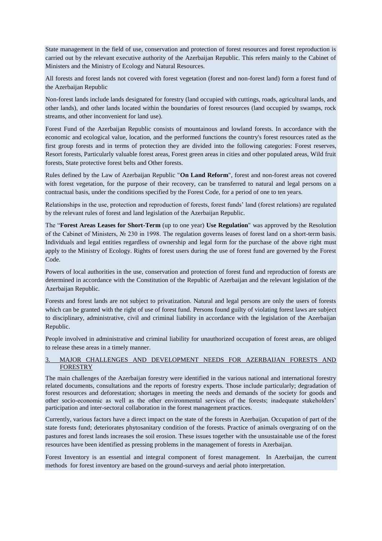State management in the field of use, conservation and protection of forest resources and forest reproduction is carried out by the relevant executive authority of the Azerbaijan Republic. This refers mainly to the Cabinet of Ministers and the Ministry of Ecology and Natural Resources.

All forests and forest lands not covered with forest vegetation (forest and non-forest land) form a forest fund of the Azerbaijan Republic

Non-forest lands include lands designated for forestry (land occupied with cuttings, roads, agricultural lands, and other lands), and other lands located within the boundaries of forest resources (land occupied by swamps, rock streams, and other inconvenient for land use).

Forest Fund of the Azerbaijan Republic consists of mountainous and lowland forests. In accordance with the economic and ecological value, location, and the performed functions the country's forest resources rated as the first group forests and in terms of protection they are divided into the following categories: Forest reserves, Resort forests, Particularly valuable forest areas, Forest green areas in cities and other populated areas, Wild fruit forests, State protective forest belts and Other forests.

Rules defined by the Law of Azerbaijan Republic "**On Land Reform**", forest and non-forest areas not covered with forest vegetation, for the purpose of their recovery, can be transferred to natural and legal persons on a contractual basis, under the conditions specified by the Forest Code, for a period of one to ten years.

Relationships in the use, protection and reproduction of forests, forest funds' land (forest relations) are regulated by the relevant rules of forest and land legislation of the Azerbaijan Republic.

The "**Forest Areas Leases for Short-Term** (up to one year) **Use Regulation**" was approved by the Resolution of the Cabinet of Ministers, № 230 in 1998. The regulation governs leases of forest land on a short-term basis. Individuals and legal entities regardless of ownership and legal form for the purchase of the above right must apply to the Ministry of Ecology. Rights of forest users during the use of forest fund are governed by the Forest Code.

Powers of local authorities in the use, conservation and protection of forest fund and reproduction of forests are determined in accordance with the Constitution of the Republic of Azerbaijan and the relevant legislation of the Azerbaijan Republic.

Forests and forest lands are not subject to privatization. Natural and legal persons are only the users of forests which can be granted with the right of use of forest fund. Persons found guilty of violating forest laws are subject to disciplinary, administrative, civil and criminal liability in accordance with the legislation of the Azerbaijan Republic.

People involved in administrative and criminal liability for unauthorized occupation of forest areas, are obliged to release these areas in a timely manner.

## <span id="page-10-0"></span>3. MAJOR CHALLENGES AND DEVELOPMENT NEEDS FOR AZERBAIJAN FORESTS AND **FORESTRY**

The main challenges of the Azerbaijan forestry were identified in the various national and international forestry related documents, consultations and the reports of forestry experts. Those include particularly; degradation of forest resources and deforestation; shortages in meeting the needs and demands of the society for goods and other socio-economic as well as the other environmental services of the forests; inadequate stakeholders' participation and inter-sectoral collaboration in the forest management practices.

Currently, various factors have a direct impact on the state of the forests in Azerbaijan. Occupation of part of the state forests fund; deteriorates phytosanitary condition of the forests. Practice of animals overgrazing of on the pastures and forest lands increases the soil erosion. These issues together with the unsustainable use of the forest resources have been identified as pressing problems in the management of forests in Azerbaijan.

Forest Inventory is an essential and integral component of forest management. In Azerbaijan, the current methods for forest inventory are based on the ground-surveys and aerial photo interpretation.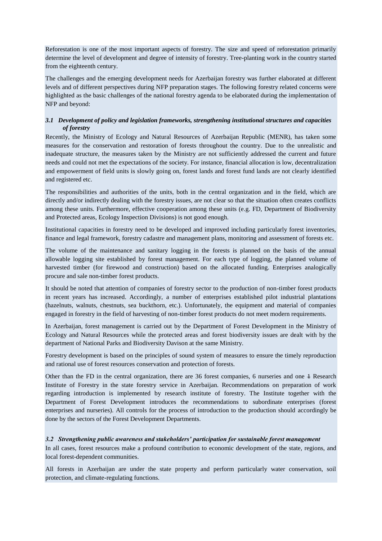Reforestation is one of the most important aspects of forestry. The size and speed of reforestation primarily determine the level of development and degree of intensity of forestry. Tree-planting work in the country started from the eighteenth century.

The challenges and the emerging development needs for Azerbaijan forestry was further elaborated at different levels and of different perspectives during NFP preparation stages. The following forestry related concerns were highlighted as the basic challenges of the national forestry agenda to be elaborated during the implementation of NFP and beyond:

## <span id="page-11-0"></span>*3.1 Development of policy and legislation frameworks, strengthening institutional structures and capacities of forestry*

Recently, the Ministry of Ecology and Natural Resources of Azerbaijan Republic (MENR), has taken some measures for the conservation and restoration of forests throughout the country. Due to the unrealistic and inadequate structure, the measures taken by the Ministry are not sufficiently addressed the current and future needs and could not met the expectations of the society. For instance, financial allocation is low, decentralization and empowerment of field units is slowly going on, forest lands and forest fund lands are not clearly identified and registered etc.

The responsibilities and authorities of the units, both in the central organization and in the field, which are directly and/or indirectly dealing with the forestry issues, are not clear so that the situation often creates conflicts among these units. Furthermore, effective cooperation among these units (e.g. FD, Department of Biodiversity and Protected areas, Ecology Inspection Divisions) is not good enough.

Institutional capacities in forestry need to be developed and improved including particularly forest inventories, finance and legal framework, forestry cadastre and management plans, monitoring and assessment of forests etc.

The volume of the maintenance and sanitary logging in the forests is planned on the basis of the annual allowable logging site established by forest management. For each type of logging, the planned volume of harvested timber (for firewood and construction) based on the allocated funding. Enterprises analogically procure and sale non-timber forest products.

It should be noted that attention of companies of forestry sector to the production of non-timber forest products in recent years has increased. Accordingly, a number of enterprises established pilot industrial plantations (hazelnuts, walnuts, chestnuts, sea buckthorn, etc.). Unfortunately, the equipment and material of companies engaged in forestry in the field of harvesting of non-timber forest products do not meet modern requirements.

In Azerbaijan, forest management is carried out by the Department of Forest Development in the Ministry of Ecology and Natural Resources while the protected areas and forest biodiversity issues are dealt with by the department of National Parks and Biodiversity Davison at the same Ministry.

Forestry development is based on the principles of sound system of measures to ensure the timely reproduction and rational use of forest resources conservation and protection of forests.

Other than the FD in the central organization, there are 36 forest companies, 6 nurseries and one 1 Research Institute of Forestry in the state forestry service in Azerbaijan. Recommendations on preparation of work regarding introduction is implemented by research institute of forestry. The Institute together with the Department of Forest Development introduces the recommendations to subordinate enterprises (forest enterprises and nurseries). All controls for the process of introduction to the production should accordingly be done by the sectors of the Forest Development Departments.

## <span id="page-11-1"></span>*3.2 Strengthening public awareness and stakeholders' participation for sustainable forest management*

In all cases, forest resources make a profound contribution to economic development of the state, regions, and local forest-dependent communities.

All forests in Azerbaijan are under the state property and perform particularly water conservation, soil protection, and climate-regulating functions.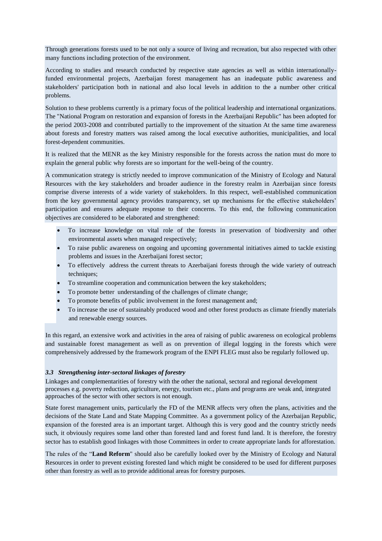Through generations forests used to be not only a source of living and recreation, but also respected with other many functions including protection of the environment.

According to studies and research conducted by respective state agencies as well as within internationallyfunded environmental projects, Azerbaijan forest management has an inadequate public awareness and stakeholders' participation both in national and also local levels in addition to the a number other critical problems.

Solution to these problems currently is a primary focus of the political leadership and international organizations. The "National Program on restoration and expansion of forests in the Azerbaijani Republic" has been adopted for the period 2003-2008 and contributed partially to the improvement of the situation At the same time awareness about forests and forestry matters was raised among the local executive authorities, municipalities, and local forest-dependent communities.

It is realized that the MENR as the key Ministry responsible for the forests across the nation must do more to explain the general public why forests are so important for the well-being of the country.

A communication strategy is strictly needed to improve communication of the Ministry of Ecology and Natural Resources with the key stakeholders and broader audience in the forestry realm in Azerbaijan since forests comprise diverse interests of a wide variety of stakeholders. In this respect, well-established communication from the key governmental agency provides transparency, set up mechanisms for the effective stakeholders' participation and ensures adequate response to their concerns. To this end, the following communication objectives are considered to be elaborated and strengthened:

- To increase knowledge on vital role of the forests in preservation of biodiversity and other environmental assets when managed respectively;
- To raise public awareness on ongoing and upcoming governmental initiatives aimed to tackle existing problems and issues in the Azerbaijani forest sector;
- To effectively address the current threats to Azerbaijani forests through the wide variety of outreach techniques;
- To streamline cooperation and communication between the key stakeholders;
- To promote better understanding of the challenges of climate change;
- To promote benefits of public involvement in the forest management and;
- To increase the use of sustainably produced wood and other forest products as climate friendly materials and renewable energy sources.

In this regard, an extensive work and activities in the area of raising of public awareness on ecological problems and sustainable forest management as well as on prevention of illegal logging in the forests which were comprehensively addressed by the framework program of the ENPI FLEG must also be regularly followed up.

## <span id="page-12-0"></span>*3.3 Strengthening inter-sectoral linkages of forestry*

Linkages and complementarities of forestry with the other the national, sectoral and regional development processes e.g. poverty reduction, agriculture, energy, tourism etc., plans and programs are weak and, integrated approaches of the sector with other sectors is not enough.

State forest management units, particularly the FD of the MENR affects very often the plans, activities and the decisions of the State Land and State Mapping Committee. As a government policy of the Azerbaijan Republic, expansion of the forested area is an important target. Although this is very good and the country strictly needs such, it obviously requires some land other than forested land and forest fund land. It is therefore, the forestry sector has to establish good linkages with those Committees in order to create appropriate lands for afforestation.

The rules of the "**Land Reform**" should also be carefully looked over by the Ministry of Ecology and Natural Resources in order to prevent existing forested land which might be considered to be used for different purposes other than forestry as well as to provide additional areas for forestry purposes.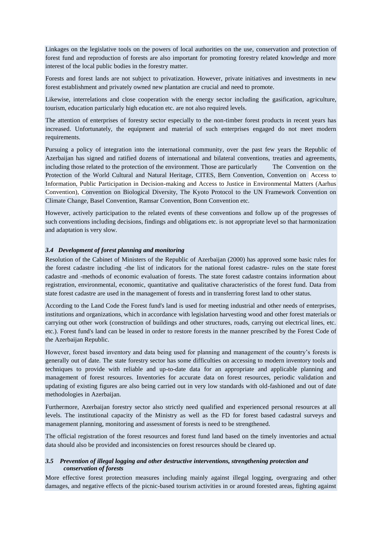Linkages on the legislative tools on the powers of local authorities on the use, conservation and protection of forest fund and reproduction of forests are also important for promoting forestry related knowledge and more interest of the local public bodies in the forestry matter.

Forests and forest lands are not subject to privatization. However, private initiatives and investments in new forest establishment and privately owned new plantation are crucial and need to promote.

Likewise, interrelations and close cooperation with the energy sector including the gasification, agriculture, tourism, education particularly high education etc. are not also required levels.

The attention of enterprises of forestry sector especially to the non-timber forest products in recent years has increased. Unfortunately, the equipment and material of such enterprises engaged do not meet modern requirements.

Pursuing a policy of integration into the international community, over the past few years the Republic of Azerbaijan has signed and ratified dozens of international and bilateral conventions, treaties and agreements, including those related to the protection of the environment. Those are particularly The Convention on the Protection of the World Cultural and Natural Heritage, CITES, Bern Convention, Convention on Access to Information, Public Participation in Decision-making and Access to Justice in Environmental Matters (Aarhus Convention), Convention on Biological Diversity, The Kyoto Protocol to the UN Framework Convention on Climate Change, Basel Convention, Ramsar Convention, Bonn Convention etc.

However, actively participation to the related events of these conventions and follow up of the progresses of such conventions including decisions, findings and obligations etc. is not appropriate level so that harmonization and adaptation is very slow.

## <span id="page-13-0"></span>*3.4 Development of forest planning and monitoring*

Resolution of the Cabinet of Ministers of the Republic of Azerbaijan (2000) has approved some basic rules for the forest cadastre including -the list of indicators for the national forest cadastre- rules on the state forest cadastre and -methods of economic evaluation of forests. The state forest cadastre contains information about registration, environmental, economic, quantitative and qualitative characteristics of the forest fund. Data from state forest cadastre are used in the management of forests and in transferring forest land to other status.

According to the Land Code the Forest fund's land is used for meeting industrial and other needs of enterprises, institutions and organizations, which in accordance with legislation harvesting wood and other forest materials or carrying out other work (construction of buildings and other structures, roads, carrying out electrical lines, etc. etc.). Forest fund's land can be leased in order to restore forests in the manner prescribed by the Forest Code of the Azerbaijan Republic.

However, forest based inventory and data being used for planning and management of the country's forests is generally out of date. The state forestry sector has some difficulties on accessing to modern inventory tools and techniques to provide with reliable and up-to-date data for an appropriate and applicable planning and management of forest resources. Inventories for accurate data on forest resources, periodic validation and updating of existing figures are also being carried out in very low standards with old-fashioned and out of date methodologies in Azerbaijan.

Furthermore, Azerbaijan forestry sector also strictly need qualified and experienced personal resources at all levels. The institutional capacity of the Ministry as well as the FD for forest based cadastral surveys and management planning, monitoring and assessment of forests is need to be strengthened.

The official registration of the forest resources and forest fund land based on the timely inventories and actual data should also be provided and inconsistencies on forest resources should be cleared up.

## <span id="page-13-1"></span>*3.5 Prevention of illegal logging and other destructive interventions, strengthening protection and conservation of forests*

More effective forest protection measures including mainly against illegal logging, overgrazing and other damages, and negative effects of the picnic-based tourism activities in or around forested areas, fighting against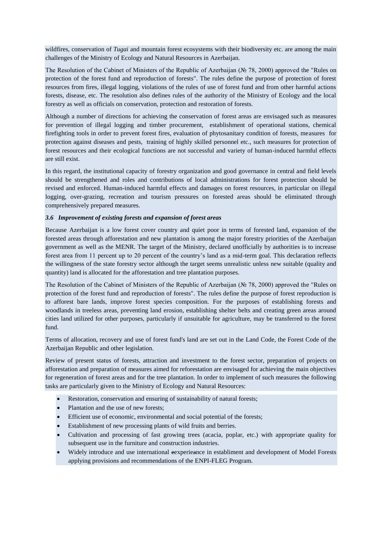wildfires, conservation of *Tugai* and mountain forest ecosystems with their biodiversity etc. are among the main challenges of the Ministry of Ecology and Natural Resources in Azerbaijan.

The Resolution of the Cabinet of Ministers of the Republic of Azerbaijan (№ 78, 2000) approved the "Rules on protection of the forest fund and reproduction of forests". The rules define the purpose of protection of forest resources from fires, illegal logging, violations of the rules of use of forest fund and from other harmful actions forests, disease, etc. The resolution also defines rules of the authority of the Ministry of Ecology and the local forestry as well as officials on conservation, protection and restoration of forests.

Although a number of directions for achieving the conservation of forest areas are envisaged such as measures for prevention of illegal logging and timber procurement, establishment of operational stations, chemical firefighting tools in order to prevent forest fires, evaluation of phytosanitary condition of forests, measures for protection against diseases and pests, training of highly skilled personnel etc., such measures for protection of forest resources and their ecological functions are not successful and variety of human-induced harmful effects are still exist.

In this regard, the institutional capacity of forestry organization and good governance in central and field levels should be strengthened and roles and contributions of local administrations for forest protection should be revised and enforced. Human-induced harmful effects and damages on forest resources, in particular on illegal logging, over-grazing, recreation and tourism pressures on forested areas should be eliminated through comprehensively prepared measures.

## <span id="page-14-0"></span>*3.6 Improvement of existing forests and expansion of forest areas*

Because Azerbaijan is a low forest cover country and quiet poor in terms of forested land, expansion of the forested areas through afforestation and new plantation is among the major forestry priorities of the Azerbaijan government as well as the MENR. The target of the Ministry, declared unofficially by authorities is to increase forest area from 11 percent up to 20 percent of the country's land as a mid-term goal. This declaration reflects the willingness of the state forestry sector although the target seems unrealistic unless new suitable (quality and quantity) land is allocated for the afforestation and tree plantation purposes.

The Resolution of the Cabinet of Ministers of the Republic of Azerbaijan (№ 78, 2000) approved the "Rules on protection of the forest fund and reproduction of forests". The rules define the purpose of forest reproduction is to afforest bare lands, improve forest species composition. For the purposes of establishing forests and woodlands in treeless areas, preventing land erosion, establishing shelter belts and creating green areas around cities land utilized for other purposes, particularly if unsuitable for agriculture, may be transferred to the forest fund.

Terms of allocation, recovery and use of forest fund's land are set out in the Land Code, the Forest Code of the Azerbaijan Republic and other legislation.

Review of present status of forests, attraction and investment to the forest sector, preparation of projects on afforestation and preparation of measures aimed for reforestation are envisaged for achieving the main objectives for regeneration of forest areas and for the tree plantation. In order to implement of such measures the following tasks are particularly given to the Ministry of Ecology and Natural Resources:

- Restoration, conservation and ensuring of sustainability of natural forests;
- Plantation and the use of new forests;
- Efficient use of economic, environmental and social potential of the forests;
- Establishment of new processing plants of wild fruits and berries.
- Cultivation and processing of fast growing trees (acacia, poplar, etc.) with appropriate quality for subsequent use in the furniture and construction industries.
- Widely introduce and use international eexperieance in establiment and development of Model Forests applying provisions and recommendations of the ENPI-FLEG Program.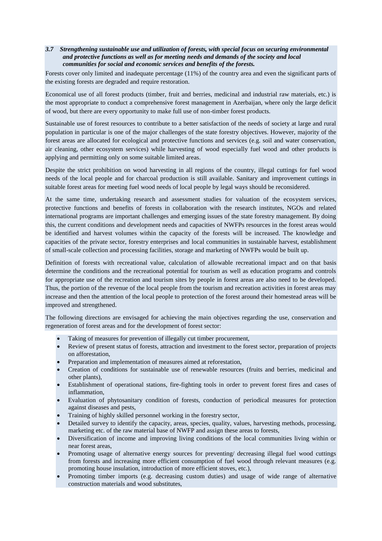## <span id="page-15-0"></span>*3.7 Strengthening sustainable use and utilization of forests, with special focus on securing environmental and protective functions as well as for meeting needs and demands of the society and local communities for social and economic services and benefits of the forests.*

Forests cover only limited and inadequate percentage (11%) of the country area and even the significant parts of the existing forests are degraded and require restoration.

Economical use of all forest products (timber, fruit and berries, medicinal and industrial raw materials, etc.) is the most appropriate to conduct a comprehensive forest management in Azerbaijan, where only the large deficit of wood, but there are every opportunity to make full use of non-timber forest products.

Sustainable use of forest resources to contribute to a better satisfaction of the needs of society at large and rural population in particular is one of the major challenges of the state forestry objectives. However, majority of the forest areas are allocated for ecological and protective functions and services (e.g. soil and water conservation, air cleaning, other ecosystem services) while harvesting of wood especially fuel wood and other products is applying and permitting only on some suitable limited areas.

Despite the strict prohibition on wood harvesting in all regions of the country, illegal cuttings for fuel wood needs of the local people and for charcoal production is still available. Sanitary and improvement cuttings in suitable forest areas for meeting fuel wood needs of local people by legal ways should be reconsidered.

At the same time, undertaking research and assessment studies for valuation of the ecosystem services, protective functions and benefits of forests in collaboration with the research institutes, NGOs and related international programs are important challenges and emerging issues of the state forestry management. By doing this, the current conditions and development needs and capacities of NWFPs resources in the forest areas would be identified and harvest volumes within the capacity of the forests will be increased. The knowledge and capacities of the private sector, forestry enterprises and local communities in sustainable harvest, establishment of small-scale collection and processing facilities, storage and marketing of NWFPs would be built up.

Definition of forests with recreational value, calculation of allowable recreational impact and on that basis determine the conditions and the recreational potential for tourism as well as education programs and controls for appropriate use of the recreation and tourism sites by people in forest areas are also need to be developed. Thus, the portion of the revenue of the local people from the tourism and recreation activities in forest areas may increase and then the attention of the local people to protection of the forest around their homestead areas will be improved and strengthened.

The following directions are envisaged for achieving the main objectives regarding the use, conservation and regeneration of forest areas and for the development of forest sector:

- Taking of measures for prevention of illegally cut timber procurement,
- Review of present status of forests, attraction and investment to the forest sector, preparation of projects on afforestation,
- Preparation and implementation of measures aimed at reforestation,
- Creation of conditions for sustainable use of renewable resources (fruits and berries, medicinal and other plants),
- Establishment of operational stations, fire-fighting tools in order to prevent forest fires and cases of inflammation,
- Evaluation of phytosanitary condition of forests, conduction of periodical measures for protection against diseases and pests,
- Training of highly skilled personnel working in the forestry sector,
- Detailed survey to identify the capacity, areas, species, quality, values, harvesting methods, processing, marketing etc. of the raw material base of NWFP and assign these areas to forests,
- Diversification of income and improving living conditions of the local communities living within or near forest areas,
- Promoting usage of alternative energy sources for preventing/ decreasing illegal fuel wood cuttings from forests and increasing more efficient consumption of fuel wood through relevant measures (e.g. promoting house insulation, introduction of more efficient stoves, etc.),
- Promoting timber imports (e.g. decreasing custom duties) and usage of wide range of alternative construction materials and wood substitutes,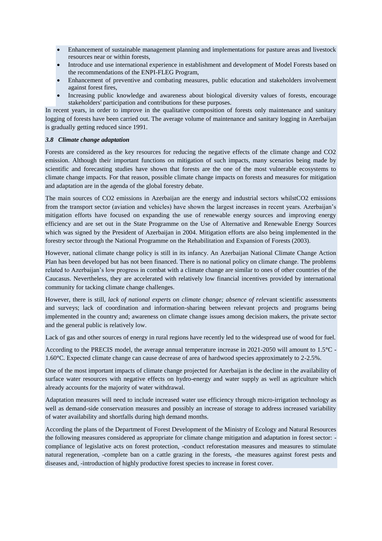- Enhancement of sustainable management planning and implementations for pasture areas and livestock resources near or within forests,
- Introduce and use international experience in establishment and development of Model Forests based on the recommendations of the ENPI-FLEG Program,
- Enhancement of preventive and combating measures, public education and stakeholders involvement against forest fires,
- <span id="page-16-0"></span> Increasing public knowledge and awareness about biological diversity values of forests, encourage stakeholders' participation and contributions for these purposes.

In recent years, in order to improve in the qualitative composition of forests only maintenance and sanitary logging of forests have been carried out. The average volume of maintenance and sanitary logging in Azerbaijan is gradually getting reduced since 1991.

## *3.8 Climate change adaptation*

Forests are considered as the key resources for reducing the negative effects of the climate change and CO2 emission. Although their important functions on mitigation of such impacts, many scenarios being made by scientific and forecasting studies have shown that forests are the one of the most vulnerable ecosystems to climate change impacts. For that reason, possible climate change impacts on forests and measures for mitigation and adaptation are in the agenda of the global forestry debate.

The main sources of CO2 emissions in Azerbaijan are the energy and industrial sectors whilstCO2 emissions from the transport sector (aviation and vehicles) have shown the largest increases in recent years. Azerbaijan's mitigation efforts have focused on expanding the use of renewable energy sources and improving energy efficiency and are set out in the State Programme on the Use of Alternative and Renewable Energy Sources which was signed by the President of Azerbaijan in 2004. Mitigation efforts are also being implemented in the forestry sector through the National Programme on the Rehabilitation and Expansion of Forests (2003).

However, national climate change policy is still in its infancy. An Azerbaijan National Climate Change Action Plan has been developed but has not been financed. There is no national policy on climate change. The problems related to Azerbaijan's low progress in combat with a climate change are similar to ones of other countries of the Caucasus. Nevertheless, they are accelerated with relatively low financial incentives provided by international community for tacking climate change challenges.

However, there is still, *lack of national experts on climate change; absence of rele*vant scientific assessments and surveys; lack of coordination and information-sharing between relevant projects and programs being implemented in the country and; awareness on climate change issues among decision makers, the private sector and the general public is relatively low.

Lack of gas and other sources of energy in rural regions have recently led to the widespread use of wood for fuel.

According to the PRECIS model, the average annual temperature increase in 2021-2050 will amount to 1.5**°**C - 1.60**°**C. Expected climate change can cause decrease of area of hardwood species approximately to 2-2.5%.

One of the most important impacts of climate change projected for Azerbaijan is the decline in the availability of surface water resources with negative effects on hydro-energy and water supply as well as agriculture which already accounts for the majority of water withdrawal.

Adaptation measures will need to include increased water use efficiency through micro-irrigation technology as well as demand-side conservation measures and possibly an increase of storage to address increased variability of water availability and shortfalls during high demand months.

According the plans of the Department of Forest Development of the Ministry of Ecology and Natural Resources the following measures considered as appropriate for climate change mitigation and adaptation in forest sector: compliance of legislative acts on forest protection, -conduct reforestation measures and measures to stimulate natural regeneration, -complete ban on a cattle grazing in the forests, -the measures against forest pests and diseases and, -introduction of highly productive forest species to increase in forest cover.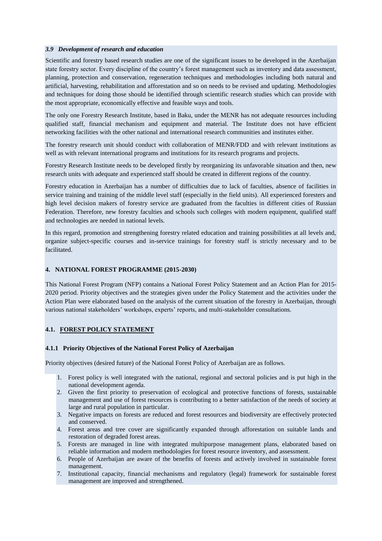#### <span id="page-17-0"></span>*3.9 Development of research and education*

Scientific and forestry based research studies are one of the significant issues to be developed in the Azerbaijan state forestry sector. Every discipline of the country's forest management such as inventory and data assessment, planning, protection and conservation, regeneration techniques and methodologies including both natural and artificial, harvesting, rehabilitation and afforestation and so on needs to be revised and updating. Methodologies and techniques for doing those should be identified through scientific research studies which can provide with the most appropriate, economically effective and feasible ways and tools.

The only one Forestry Research Institute, based in Baku, under the MENR has not adequate resources including qualified staff, financial mechanism and equipment and material. The Institute does not have efficient networking facilities with the other national and international research communities and institutes either.

The forestry research unit should conduct with collaboration of MENR/FDD and with relevant institutions as well as with relevant international programs and institutions for its research programs and projects.

Forestry Research Institute needs to be developed firstly by reorganizing its unfavorable situation and then, new research units with adequate and experienced staff should be created in different regions of the country.

Forestry education in Azerbaijan has a number of difficulties due to lack of faculties, absence of facilities in service training and training of the middle level staff (especially in the field units). All experienced foresters and high level decision makers of forestry service are graduated from the faculties in different cities of Russian Federation. Therefore, new forestry faculties and schools such colleges with modern equipment, qualified staff and technologies are needed in national levels.

In this regard, promotion and strengthening forestry related education and training possibilities at all levels and, organize subject-specific courses and in-service trainings for forestry staff is strictly necessary and to be facilitated.

## <span id="page-17-2"></span><span id="page-17-1"></span>**4. NATIONAL FOREST PROGRAMME (2015-2030)**

<span id="page-17-3"></span>This National Forest Program (NFP) contains a National Forest Policy Statement and an Action Plan for 2015- 2020 period. Priority objectives and the strategies given under the Policy Statement and the activities under the Action Plan were elaborated based on the analysis of the current situation of the forestry in Azerbaijan, through various national stakeholders' workshops, experts' reports, and multi-stakeholder consultations.

## **4.1. FOREST POLICY STATEMENT**

## **4.1.1 Priority Objectives of the National Forest Policy of Azerbaijan**

Priority objectives (desired future) of the National Forest Policy of Azerbaijan are as follows.

- 1. Forest policy is well integrated with the national, regional and sectoral policies and is put high in the national development agenda.
- 2. Given the first priority to preservation of ecological and protective functions of forests, sustainable management and use of forest resources is contributing to a better satisfaction of the needs of society at large and rural population in particular.
- 3. Negative impacts on forests are reduced and forest resources and biodiversity are effectively protected and conserved.
- 4. Forest areas and tree cover are significantly expanded through afforestation on suitable lands and restoration of degraded forest areas.
- 5. Forests are managed in line with integrated multipurpose management plans, elaborated based on reliable information and modern methodologies for forest resource inventory, and assessment.
- 6. People of Azerbaijan are aware of the benefits of forests and actively involved in sustainable forest management.
- 7. Institutional capacity, financial mechanisms and regulatory (legal) framework for sustainable forest management are improved and strengthened.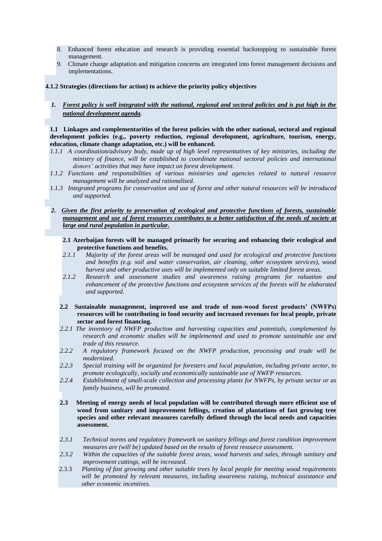- 8. Enhanced forest education and research is providing essential backstopping to sustainable forest management.
- 9. Climate change adaptation and mitigation concerns are integrated into forest management decisions and implementations.

#### **4.1.2 Strategies (directions for action) to achieve the priority policy objectives**

*1. Forest policy is well integrated with the national, regional and sectoral policies and is put high in the national development agenda.* 

**1.1 Linkages and complementarities of the forest policies with the other national, sectoral and regional development policies (e.g., poverty reduction, regional development, agriculture, tourism, energy, education, climate change adaptation, etc.) will be enhanced.**

- *1.1.1 A coordination/advisory body, made up of high level representatives of key ministries, including the ministry of finance, will be established to coordinate national sectoral policies and international donors' activities that may have impact on forest development.*
- *1.1.2 Functions and responsibilities of various ministries and agencies related to natural resource management will be analyzed and rationalised.*
- *1.1.3 Integrated programs for conservation and use of forest and other natural resources will be introduced and supported.*
- *2. Given the first priority to preservation of ecological and protective functions of forests, sustainable management and use of forest resources contributes to a better satisfaction of the needs of society at large and rural population in particular.* 
	- **2.1 Azerbaijan forests will be managed primarily for securing and enhancing their ecological and protective functions and benefits.**
	- *2.1.1 Majority of the forest areas will be managed and used for ecological and protective functions and benefits (e.g. soil and water conservation, air cleaning, other ecosystem services), wood harvest and other productive uses will be implemented only on suitable limited forest areas.*
	- *2.1.2 Research and assessment studies and awareness raising programs for valuation and enhancement of the protective functions and ecosystem services of the forests will be elaborated and supported.*
	- **2.2 Sustainable management, improved use and trade of non-wood forest products' (NWFPs) resources will be contributing in food security and increased revenues for local people, private sector and forest financing.**
	- *2.2.1 The inventory of NWFP production and harvesting capacities and potentials, complemented by research and economic studies will be implemented and used to promote sustainable use and trade of this resource.*
	- *2.2.2 A regulatory framework focused on the NWFP production, processing and trade will be modernized.*
	- *2.2.3 Special training will be organized for foresters and local population, including private sector, to promote ecologically, socially and economically sustainable use of NWFP resources.*
	- *2.2.4 Establishment of small-scale collection and processing plants for NWFPs, by private sector or as family business, will be promoted.*
	- **2.3 Meeting of energy needs of local population will be contributed through more efficient use of wood from sanitary and improvement fellings, creation of plantations of fast growing tree species and other relevant measures carefully defined through the local needs and capacities assessment.**
	- *2.3.1 Technical norms and regulatory framework on sanitary fellings and forest condition improvement measures are (will be) updated based on the results of forest resource assessment.*
	- *2.3.2 Within the capacities of the suitable forest areas, wood harvests and sales, through sanitary and improvement cuttings, will be increased.*
	- 2.3.3 *Planting of fast growing and other suitable trees by local people for meeting wood requirements will be promoted by relevant measures, including awareness raising, technical assistance and other economic incentives.*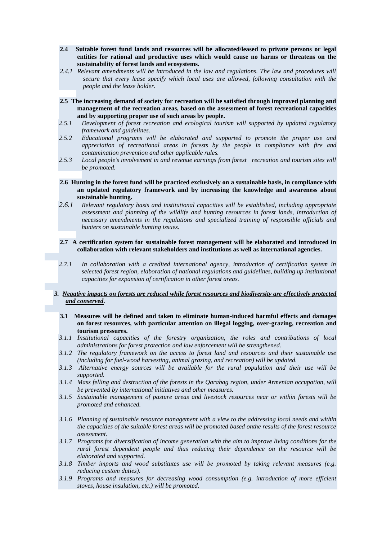- **2.4 Suitable forest fund lands and resources will be allocated/leased to private persons or legal entities for rational and productive uses which would cause no harms or threatens on the sustainability of forest lands and ecosystems.**
- *2.4.1 Relevant amendments will be introduced in the law and regulations. The law and procedures will secure that every lease specify which local uses are allowed, following consultation with the people and the lease holder.*
- **2.5 The increasing demand of society for recreation will be satisfied through improved planning and management of the recreation areas, based on the assessment of forest recreational capacities and by supporting proper use of such areas by people.**
- *2.5.1 Development of forest recreation and ecological tourism will supported by updated regulatory framework and guidelines.*
- *2.5.2 Educational programs will be elaborated and supported to promote the proper use and appreciation of recreational areas in forests by the people in compliance with fire and contamination prevention and other applicable rules.*
- *2.5.3 Local people's involvement in and revenue earnings from forest recreation and tourism sites will be promoted.*
- **2.6 Hunting in the forest fund will be practiced exclusively on a sustainable basis, in compliance with an updated regulatory framework and by increasing the knowledge and awareness about sustainable hunting.**
- *2.6.1 Relevant regulatory basis and institutional capacities will be established, including appropriate assessment and planning of the wildlife and hunting resources in forest lands, introduction of necessary amendments in the regulations and specialized training of responsible officials and hunters on sustainable hunting issues.*

#### **2.7 A certification system for sustainable forest management will be elaborated and introduced in collaboration with relevant stakeholders and institutions as well as international agencies.**

- *2.7.1 In collaboration with a credited international agency, introduction of certification system in selected forest region, elaboration of national regulations and guidelines, building up institutional capacities for expansion of certification in other forest areas.*
- *3. Negative impacts on forests are reduced while forest resources and biodiversity are effectively protected and conserved.*
	- **3.1 Measures will be defined and taken to eliminate human-induced harmful effects and damages on forest resources, with particular attention on illegal logging, over-grazing, recreation and tourism pressures.**
	- *3.1.1 Institutional capacities of the forestry organization, the roles and contributions of local administrations for forest protection and law enforcement will be strengthened.*
	- *3.1.2 The regulatory framework on the access to forest land and resources and their sustainable use (including for fuel-wood harvesting, animal grazing, and recreation) will be updated.*
	- *3.1.3 Alternative energy sources will be available for the rural population and their use will be supported.*
	- *3.1.4 Mass felling and destruction of the forests in the Qarabag region, under Armenian occupation, will be prevented by international initiatives and other measures.*
	- *3.1.5 Sustainable management of pasture areas and livestock resources near or within forests will be promoted and enhanced.*
	- *3.1.6 Planning of sustainable resource management with a view to the addressing local needs and within the capacities of the suitable forest areas will be promoted based onthe results of the forest resource assessment.*
	- *3.1.7 Programs for diversification of income generation with the aim to improve living conditions for the rural forest dependent people and thus reducing their dependence on the resource will be elaborated and supported.*
	- *3.1.8 Timber imports and wood substitutes use will be promoted by taking relevant measures (e.g. reducing custom duties).*
	- *3.1.9 Programs and measures for decreasing wood consumption (e.g. introduction of more efficient stoves, house insulation, etc.) will be promoted.*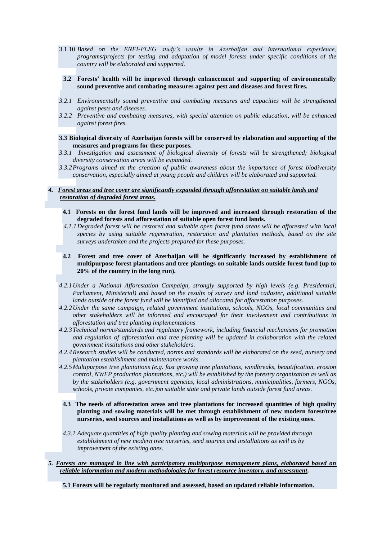- 3.1.10 *Based on the ENFI-FLEG study's results in Azerbaijan and international experience, programs/projects for testing and adaptation of model forests under specific conditions of the country will be elaborated and supported.*
- **3.2 Forests' health will be improved through enhancement and supporting of environmentally sound preventive and combating measures against pest and diseases and forest fires.**
- *3.2.1 Environmentally sound preventive and combating measures and capacities will be strengthened against pests and diseases.*
- *3.2.2 Preventive and combating measures, with special attention on public education, will be enhanced against forest fires.*
- **3.3 Biological diversity of Azerbaijan forests will be conserved by elaboration and supporting of the measures and programs for these purposes.**
- *3.3.1 Investigation and assessment of biological diversity of forests will be strengthened; biological diversity conservation areas will be expanded.*
- *3.3.2Programs aimed at the creation of public awareness about the importance of forest biodiversity conservation, especially aimed at young people and children will be elaborated and supported.*

## *4. Forest areas and tree cover are significantly expanded through afforestation on suitable lands and restoration of degraded forest areas.*

- **4.1 Forests on the forest fund lands will be improved and increased through restoration of the degraded forests and afforestation of suitable open forest fund lands.**
- *4.1.1Degraded forest will be restored and suitable open forest fund areas will be afforested with local species by using suitable regeneration, restoration and plantation methods, based on the site surveys undertaken and the projects prepared for these purposes.*
- **4.2 Forest and tree cover of Azerbaijan will be significantly increased by establishment of multipurpose forest plantations and tree plantings on suitable lands outside forest fund (up to 20% of the country in the long run).**
- *4.2.1Under a National Afforestation Campaign, strongly supported by high levels (e.g. Presidential, Parliament, Ministerial) and based on the results of survey and land cadaster, additional suitable lands outside of the forest fund will be identified and allocated for afforestation purposes.*
- *4.2.2Under the same campaign, related government institutions, schools, NGOs, local communities and other stakeholders will be informed and encouraged for their involvement and contributions in afforestation and tree planting implementations*
- *4.2.3Technical norms/standards and regulatory framework, including financial mechanisms for promotion and regulation of afforestation and tree planting will be updated in collaboration with the related government institutions and other stakeholders.*
- *4.2.4Research studies will be conducted, norms and standards will be elaborated on the seed, nursery and plantation establishment and maintenance works.*
- *4.2.5Multipurpose tree plantations (e.g. fast growing tree plantations, windbreaks, beautification, erosion control, NWFP production plantations, etc.) will be established by the forestry organization as well as by the stakeholders (e.g. government agencies, local administrations, municipalities, farmers, NGOs, schools, private companies, etc.)on suitable state and private lands outside forest fund areas.*
- **4.3 The needs of afforestation areas and tree plantations for increased quantities of high quality planting and sowing materials will be met through establishment of new modern forest/tree nurseries, seed sources and installations as well as by improvement of the existing ones.**
- *4.3.1 Adequate quantities of high quality planting and sowing materials will be provided through establishment of new modern tree nurseries, seed sources and installations as well as by improvement of the existing ones.*
- *5. Forests are managed in line with participatory multipurpose management plans, elaborated based on reliable information and modern methodologies for forest resource inventory, and assessment.*

**5.1 Forests will be regularly monitored and assessed, based on updated reliable information.**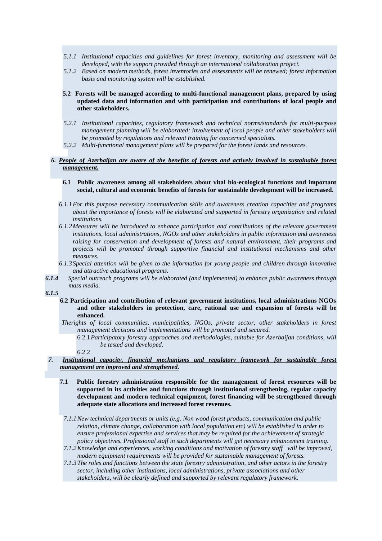- *5.1.1 Institutional capacities and guidelines for forest inventory, monitoring and assessment will be developed, with the support provided through an international collaboration project.*
- *5.1.2 Based on modern methods, forest inventories and assessments will be renewed; forest information basis and monitoring system will be established.*
- **5.2 Forests will be managed according to multi-functional management plans, prepared by using updated data and information and with participation and contributions of local people and other stakeholders.**
- *5.2.1 Institutional capacities, regulatory framework and technical norms/standards for multi-purpose management planning will be elaborated; involvement of local people and other stakeholders will be promoted by regulations and relevant training for concerned specialists.*
- *5.2.2 Multi-functional management plans will be prepared for the forest lands and resources.*

## *6. People of Azerbaijan are aware of the benefits of forests and actively involved in sustainable forest management.*

#### **6.1 Public awareness among all stakeholders about vital bio-ecological functions and important social, cultural and economic benefits of forests for sustainable development will be increased.**

- *6.1.1For this purpose necessary communication skills and awareness creation capacities and programs about the importance of forests will be elaborated and supported in forestry organization and related institutions.*
- *6.1.2Measures will be introduced to enhance participation and contributions of the relevant government institutions, local administrations, NGOs and other stakeholders in public information and awareness raising for conservation and development of forests and natural environment, their programs and projects will be promoted through supportive financial and institutional mechanisms and other measures.*
- *6.1.3Special attention will be given to the information for young people and children through innovative and attractive educational programs.*
- *6.1.4 Special outreach programs will be elaborated (and implemented) to enhance public awareness through mass media.*
- *6.1.5*
	- **6.2 Participation and contribution of relevant government institutions, local administrations NGOs and other stakeholders in protection, care, rational use and expansion of forests will be enhanced.**

*Therights of local communities, municipalities, NGOs, private sector, other stakeholders in forest management decisions and implementations will be promoted and secured.*

- 6.2.1*Participatory forestry approaches and methodologies, suitable for Azerbaijan conditions, will be tested and developed.*
- 6.2.2

## *7. Institutional capacity, financial mechanisms and regulatory framework for sustainable forest management are improved and strengthened.*

- **7.1 Public forestry administration responsible for the management of forest resources will be supported in its activities and functions through institutional strengthening, regular capacity development and modern technical equipment, forest financing will be strengthened through adequate state allocations and increased forest revenues.**
- *7.1.1New technical departments or units (e.g. Non wood forest products, communication and public relation, climate change, collaboration with local population etc) will be established in order to ensure professional expertise and services that may be required for the achievement of strategic policy objectives. Professional staff in such departments will get necessary enhancement training.*
- *7.1.2Knowledge and experiences, working conditions and motivation of forestry staff will be improved, modern equipment requirements will be provided for sustainable management of forests.*
- *7.1.3The roles and functions between the state forestry administration, and other actors in the forestry sector, including other institutions, local administrations, private associations and other stakeholders, will be clearly defined and supported by relevant regulatory framework.*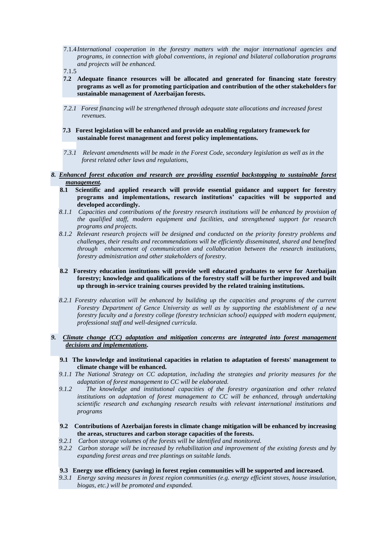- 7.1.4 *International cooperation in the forestry matters with the major international agencies and programs, in connection with global conventions, in regional and bilateral collaboration programs and projects will be enhanced.*
- 7.1.5
- **7.2 Adequate finance resources will be allocated and generated for financing state forestry programs as well as for promoting participation and contribution of the other stakeholders for sustainable management of Azerbaijan forests.**
- *7.2.1 Forest financing will be strengthened through adequate state allocations and increased forest revenues.*
- **7.3 Forest legislation will be enhanced and provide an enabling regulatory framework for sustainable forest management and forest policy implementations.**
- *7.3.1 Relevant amendments will be made in the Forest Code, secondary legislation as well as in the forest related other laws and regulations,*
- *8. Enhanced forest education and research are providing essential backstopping to sustainable forest management.*
	- **8.1 Scientific and applied research will provide essential guidance and support for forestry programs and implementations, research institutions' capacities will be supported and developed accordingly.**
	- *8.1.1 Capacities and contributions of the forestry research institutions will be enhanced by provision of the qualified staff, modern equipment and facilities, and strengthened support for research programs and projects.*
	- *8.1.2 Relevant research projects will be designed and conducted on the priority forestry problems and challenges, their results and recommendations will be efficiently disseminated, shared and benefited through enhancement of communication and collaboration between the research institutions, forestry administration and other stakeholders of forestry.*
	- **8.2 Forestry education institutions will provide well educated graduates to serve for Azerbaijan forestry; knowledge and qualifications of the forestry staff will be further improved and built up through in-service training courses provided by the related training institutions.**
	- *8.2.1 Forestry education will be enhanced by building up the capacities and programs of the current Forestry Department of Gence University as well as by supporting the establishment of a new forestry faculty and a forestry college (forestry technician school) equipped with modern equipment, professional staff and well-designed curricula.*

## *9. Climate change (CC) adaptation and mitigation concerns are integrated into forest management decisions and implementations.*

- **9.1 The knowledge and institutional capacities in relation to adaptation of forests' management to climate change will be enhanced.**
- *9.1.1 The National Strategy on CC adaptation, including the strategies and priority measures for the adaptation of forest management to CC will be elaborated.*
- *9.1.2 The knowledge and institutional capacities of the forestry organization and other related institutions on adaptation of forest management to CC will be enhanced, through undertaking scientific research and exchanging research results with relevant international institutions and programs*
- **9.2 Contributions of Azerbaijan forests in climate change mitigation will be enhanced by increasing the areas, structures and carbon storage capacities of the forests.**
- *9.2.1 Carbon storage volumes of the forests will be identified and monitored.*
- *9.2.2 Carbon storage will be increased by rehabilitation and improvement of the existing forests and by expanding forest areas and tree plantings on suitable lands.*

#### **9.3 Energy use efficiency (saving) in forest region communities will be supported and increased.**

*9.3.1 Energy saving measures in forest region communities (e.g. energy efficient stoves, house insulation, biogas, etc.) will be promoted and expanded.*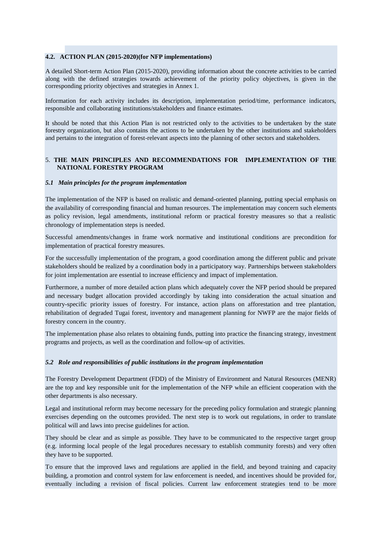## **4.2. ACTION PLAN (2015-2020)(for NFP implementations)**

A detailed Short-term Action Plan (2015-2020), providing information about the concrete activities to be carried along with the defined strategies towards achievement of the priority policy objectives, is given in the corresponding priority objectives and strategies in Annex 1.

Information for each activity includes its description, implementation period/time, performance indicators, responsible and collaborating institutions/stakeholders and finance estimates.

It should be noted that this Action Plan is not restricted only to the activities to be undertaken by the state forestry organization, but also contains the actions to be undertaken by the other institutions and stakeholders and pertains to the integration of forest-relevant aspects into the planning of other sectors and stakeholders.

#### 5. **THE MAIN PRINCIPLES AND RECOMMENDATIONS FOR IMPLEMENTATION OF THE NATIONAL FORESTRY PROGRAM**

#### <span id="page-23-0"></span>*5.1 Main principles for the program implementation*

The implementation of the NFP is based on realistic and demand-oriented planning, putting special emphasis on the availability of corresponding financial and human resources. The implementation may concern such elements as policy revision, legal amendments, institutional reform or practical forestry measures so that a realistic chronology of implementation steps is needed.

Successful amendments/changes in frame work normative and institutional conditions are precondition for implementation of practical forestry measures.

For the successfully implementation of the program, a good coordination among the different public and private stakeholders should be realized by a coordination body in a participatory way. Partnerships between stakeholders for joint implementation are essential to increase efficiency and impact of implementation.

Furthermore, a number of more detailed action plans which adequately cover the NFP period should be prepared and necessary budget allocation provided accordingly by taking into consideration the actual situation and country-specific priority issues of forestry. For instance, action plans on afforestation and tree plantation, rehabilitation of degraded Tugai forest, inventory and management planning for NWFP are the major fields of forestry concern in the country.

The implementation phase also relates to obtaining funds, putting into practice the financing strategy, investment programs and projects, as well as the coordination and follow-up of activities.

#### <span id="page-23-1"></span>*5.2 Role and responsibilities of public institutions in the program implementation*

The Forestry Development Department (FDD) of the Ministry of Environment and Natural Resources (MENR) are the top and key responsible unit for the implementation of the NFP while an efficient cooperation with the other departments is also necessary.

Legal and institutional reform may become necessary for the preceding policy formulation and strategic planning exercises depending on the outcomes provided. The next step is to work out regulations, in order to translate political will and laws into precise guidelines for action.

They should be clear and as simple as possible. They have to be communicated to the respective target group (e.g. informing local people of the legal procedures necessary to establish community forests) and very often they have to be supported.

To ensure that the improved laws and regulations are applied in the field, and beyond training and capacity building, a promotion and control system for law enforcement is needed, and incentives should be provided for, eventually including a revision of fiscal policies. Current law enforcement strategies tend to be more